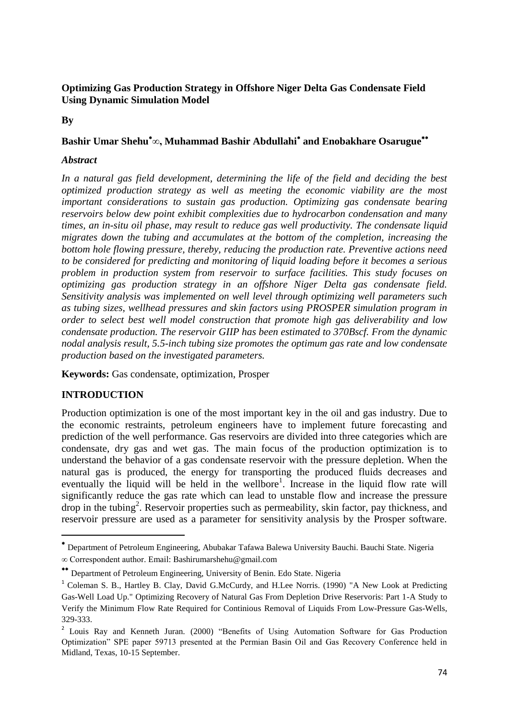## **By**

# **Bashir Umar Shehu∞, Muhammad Bashir Abdullahi and Enobakhare Osarugue**

#### *Abstract*

*In a natural gas field development, determining the life of the field and deciding the best optimized production strategy as well as meeting the economic viability are the most important considerations to sustain gas production. Optimizing gas condensate bearing reservoirs below dew point exhibit complexities due to hydrocarbon condensation and many times, an in-situ oil phase, may result to reduce gas well productivity. The condensate liquid migrates down the tubing and accumulates at the bottom of the completion, increasing the bottom hole flowing pressure, thereby, reducing the production rate. Preventive actions need to be considered for predicting and monitoring of liquid loading before it becomes a serious problem in production system from reservoir to surface facilities. This study focuses on optimizing gas production strategy in an offshore Niger Delta gas condensate field. Sensitivity analysis was implemented on well level through optimizing well parameters such as tubing sizes, wellhead pressures and skin factors using PROSPER simulation program in order to select best well model construction that promote high gas deliverability and low condensate production. The reservoir GIIP has been estimated to 370Bscf. From the dynamic nodal analysis result, 5.5-inch tubing size promotes the optimum gas rate and low condensate production based on the investigated parameters.*

**Keywords:** Gas condensate, optimization, Prosper

# **INTRODUCTION**

**.** 

Production optimization is one of the most important key in the oil and gas industry. Due to the economic restraints, petroleum engineers have to implement future forecasting and prediction of the well performance. Gas reservoirs are divided into three categories which are condensate, dry gas and wet gas. The main focus of the production optimization is to understand the behavior of a gas condensate reservoir with the pressure depletion. When the natural gas is produced, the energy for transporting the produced fluids decreases and eventually the liquid will be held in the wellbore<sup>1</sup>. Increase in the liquid flow rate will significantly reduce the gas rate which can lead to unstable flow and increase the pressure drop in the tubing<sup>2</sup> . Reservoir properties such as permeability, skin factor, pay thickness, and reservoir pressure are used as a parameter for sensitivity analysis by the Prosper software.

Department of Petroleum Engineering, Abubakar Tafawa Balewa University Bauchi. Bauchi State. Nigeria ∞ Correspondent author. Email: [Bashirumarshehu@gmail.com](mailto:Bashirumarshehu@gmail.com)

<sup>\*\*</sup> Department of Petroleum Engineering, University of Benin. Edo State. Nigeria

<sup>&</sup>lt;sup>1</sup> Coleman S. B., Hartley B. Clay, David G.McCurdy, and H.Lee Norris. (1990) "A New Look at Predicting Gas-Well Load Up." Optimizing Recovery of Natural Gas From Depletion Drive Reservoris: Part 1-A Study to Verify the Minimum Flow Rate Required for Continious Removal of Liquids From Low-Pressure Gas-Wells, 329-333.

<sup>&</sup>lt;sup>2</sup> Louis Ray and Kenneth Juran. (2000) "Benefits of Using Automation Software for Gas Production Optimization" SPE paper 59713 presented at the Permian Basin Oil and Gas Recovery Conference held in Midland, Texas, 10-15 September.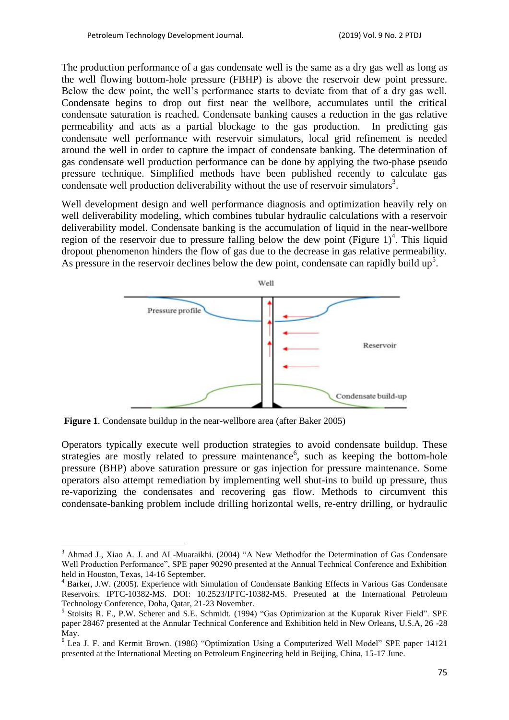The production performance of a gas condensate well is the same as a dry gas well as long as the well flowing bottom-hole pressure (FBHP) is above the reservoir dew point pressure. Below the dew point, the well's performance starts to deviate from that of a dry gas well. Condensate begins to drop out first near the wellbore, accumulates until the critical condensate saturation is reached. Condensate banking causes a reduction in the gas relative permeability and acts as a partial blockage to the gas production. In predicting gas condensate well performance with reservoir simulators, local grid refinement is needed around the well in order to capture the impact of condensate banking. The determination of gas condensate well production performance can be done by applying the two-phase pseudo pressure technique. Simplified methods have been published recently to calculate gas condensate well production deliverability without the use of reservoir simulators<sup>3</sup>.

Well development design and well performance diagnosis and optimization heavily rely on well deliverability modeling, which combines tubular hydraulic calculations with a reservoir deliverability model. Condensate banking is the accumulation of liquid in the near-wellbore region of the reservoir due to pressure falling below the dew point (Figure  $1$ )<sup>4</sup>. This liquid dropout phenomenon hinders the flow of gas due to the decrease in gas relative permeability. As pressure in the reservoir declines below the dew point, condensate can rapidly build up<sup>5</sup>.



**Figure 1.** Condensate buildup in the near-wellbore area (after Baker 2005)

**.** 

Operators typically execute well production strategies to avoid condensate buildup. These strategies are mostly related to pressure maintenance<sup>6</sup>, such as keeping the bottom-hole pressure (BHP) above saturation pressure or gas injection for pressure maintenance. Some operators also attempt remediation by implementing well shut-ins to build up pressure, thus re-vaporizing the condensates and recovering gas flow. Methods to circumvent this condensate-banking problem include drilling horizontal wells, re-entry drilling, or hydraulic

<sup>&</sup>lt;sup>3</sup> Ahmad J., Xiao A. J. and AL-Muaraikhi. (2004) "A New Methodfor the Determination of Gas Condensate Well Production Performance", SPE paper 90290 presented at the Annual Technical Conference and Exhibition held in Houston, Texas, 14-16 September.

<sup>4</sup> Barker, J.W. (2005). Experience with Simulation of Condensate Banking Effects in Various Gas Condensate Reservoirs. IPTC-10382-MS. DOI: 10.2523/IPTC-10382-MS. Presented at the International Petroleum Technology Conference, Doha, Qatar, 21-23 November.

<sup>&</sup>lt;sup>5</sup> Stoisits R. F., P.W. Scherer and S.E. Schmidt. (1994) "Gas Optimization at the Kuparuk River Field". SPE paper 28467 presented at the Annular Technical Conference and Exhibition held in New Orleans, U.S.A, 26 -28 May.

<sup>&</sup>lt;sup>6</sup> Lea J. F. and Kermit Brown. (1986) "Optimization Using a Computerized Well Model" SPE paper 14121 presented at the International Meeting on Petroleum Engineering held in Beijing, China, 15-17 June.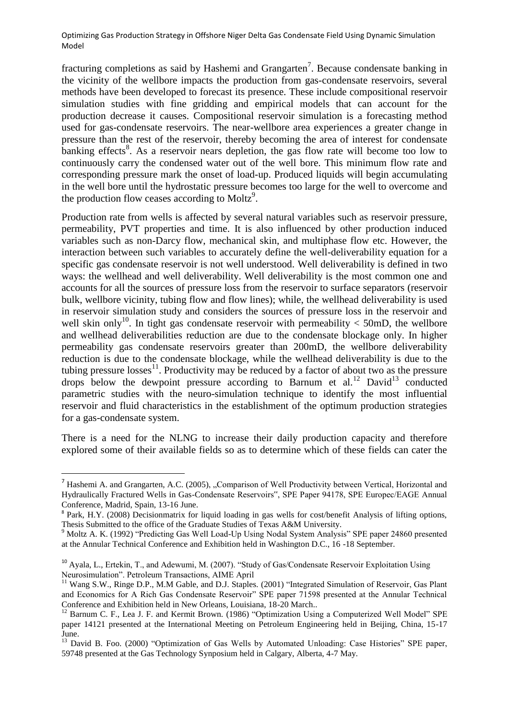fracturing completions as said by Hashemi and Grangarten<sup>7</sup>. Because condensate banking in the vicinity of the wellbore impacts the production from gas-condensate reservoirs, several methods have been developed to forecast its presence. These include compositional reservoir simulation studies with fine gridding and empirical models that can account for the production decrease it causes. Compositional reservoir simulation is a forecasting method used for gas-condensate reservoirs. The near-wellbore area experiences a greater change in pressure than the rest of the reservoir, thereby becoming the area of interest for condensate banking effects<sup>8</sup>. As a reservoir nears depletion, the gas flow rate will become too low to continuously carry the condensed water out of the well bore. This minimum flow rate and corresponding pressure mark the onset of load-up. Produced liquids will begin accumulating in the well bore until the hydrostatic pressure becomes too large for the well to overcome and the production flow ceases according to Moltz<sup>9</sup>.

Production rate from wells is affected by several natural variables such as reservoir pressure, permeability, PVT properties and time. It is also influenced by other production induced variables such as non-Darcy flow, mechanical skin, and multiphase flow etc. However, the interaction between such variables to accurately define the well-deliverability equation for a specific gas condensate reservoir is not well understood. Well deliverability is defined in two ways: the wellhead and well deliverability. Well deliverability is the most common one and accounts for all the sources of pressure loss from the reservoir to surface separators (reservoir bulk, wellbore vicinity, tubing flow and flow lines); while, the wellhead deliverability is used in reservoir simulation study and considers the sources of pressure loss in the reservoir and well skin only<sup>10</sup>. In tight gas condensate reservoir with permeability  $<$  50mD, the wellbore and wellhead deliverabilities reduction are due to the condensate blockage only. In higher permeability gas condensate reservoirs greater than 200mD, the wellbore deliverability reduction is due to the condensate blockage, while the wellhead deliverability is due to the tubing pressure losses<sup>11</sup>. Productivity may be reduced by a factor of about two as the pressure drops below the dewpoint pressure according to Barnum et al.<sup>12</sup> David<sup>13</sup> conducted parametric studies with the neuro-simulation technique to identify the most influential reservoir and fluid characteristics in the establishment of the optimum production strategies for a gas-condensate system.

There is a need for the NLNG to increase their daily production capacity and therefore explored some of their available fields so as to determine which of these fields can cater the

**.** 

 $<sup>7</sup>$  Hashemi A. and Grangarten, A.C. (2005), "Comparison of Well Productivity between Vertical, Horizontal and</sup> Hydraulically Fractured Wells in Gas-Condensate Reservoirs", SPE Paper 94178, SPE Europec/EAGE Annual Conference, Madrid, Spain, 13-16 June.

<sup>&</sup>lt;sup>8</sup> Park, H.Y. (2008) Decisionmatrix for liquid loading in gas wells for cost/benefit Analysis of lifting options, Thesis Submitted to the office of the Graduate Studies of Texas A&M University.

<sup>&</sup>lt;sup>9</sup> Moltz A. K. (1992) "Predicting Gas Well Load-Up Using Nodal System Analysis" SPE paper 24860 presented at the Annular Technical Conference and Exhibition held in Washington D.C., 16 -18 September.

<sup>&</sup>lt;sup>10</sup> Ayala, L., Ertekin, T., and Adewumi, M. (2007). "Study of Gas/Condensate Reservoir Exploitation Using Neurosimulation". Petroleum Transactions, AIME April

<sup>&</sup>lt;sup>11</sup> Wang S.W., Ringe D.P., M.M Gable, and D.J. Staples. (2001) "Integrated Simulation of Reservoir, Gas Plant and Economics for A Rich Gas Condensate Reservoir" SPE paper 71598 presented at the Annular Technical Conference and Exhibition held in New Orleans, Louisiana, 18-20 March..

<sup>&</sup>lt;sup>12</sup> Barnum C. F., Lea J. F. and Kermit Brown. (1986) "Optimization Using a Computerized Well Model" SPE paper 14121 presented at the International Meeting on Petroleum Engineering held in Beijing, China, 15-17 June.

<sup>&</sup>lt;sup>13</sup> David B. Foo. (2000) "Optimization of Gas Wells by Automated Unloading: Case Histories" SPE paper, 59748 presented at the Gas Technology Synposium held in Calgary, Alberta, 4-7 May.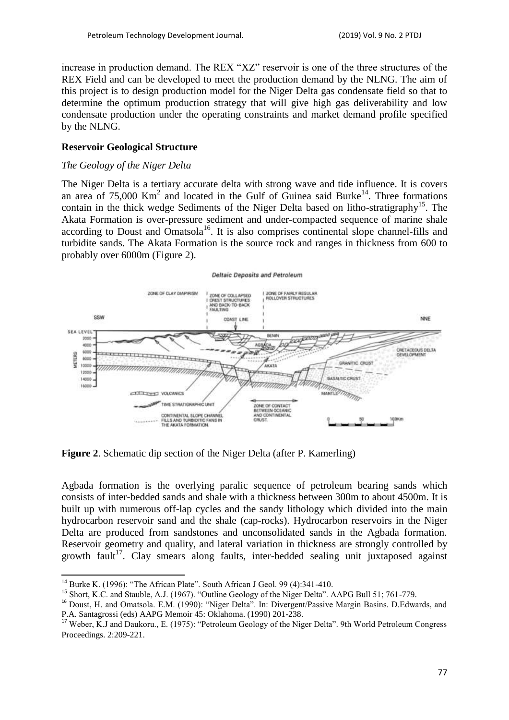increase in production demand. The REX "XZ" reservoir is one of the three structures of the REX Field and can be developed to meet the production demand by the NLNG. The aim of this project is to design production model for the Niger Delta gas condensate field so that to determine the optimum production strategy that will give high gas deliverability and low condensate production under the operating constraints and market demand profile specified by the NLNG.

#### **Reservoir Geological Structure**

#### *The Geology of the Niger Delta*

The Niger Delta is a tertiary accurate delta with strong wave and tide influence. It is covers an area of  $75,000$  Km<sup>2</sup> and located in the Gulf of Guinea said Burke<sup>14</sup>. Three formations contain in the thick wedge Sediments of the Niger Delta based on litho-stratigraphy<sup>15</sup>. The Akata Formation is over-pressure sediment and under-compacted sequence of marine shale according to Doust and Omatsola<sup>16</sup>. It is also comprises continental slope channel-fills and turbidite sands. The Akata Formation is the source rock and ranges in thickness from 600 to probably over 6000m (Figure 2).

#### Deltaic Deposits and Petroleum



**Figure 2**. Schematic dip section of the Niger Delta (after P. Kamerling)

Agbada formation is the overlying paralic sequence of petroleum bearing sands which consists of inter-bedded sands and shale with a thickness between 300m to about 4500m. It is built up with numerous off-lap cycles and the sandy lithology which divided into the main hydrocarbon reservoir sand and the shale (cap-rocks). Hydrocarbon reservoirs in the Niger Delta are produced from sandstones and unconsolidated sands in the Agbada formation. Reservoir geometry and quality, and lateral variation in thickness are strongly controlled by growth fault<sup>17</sup>. Clay smears along faults, inter-bedded sealing unit juxtaposed against

 $\overline{\phantom{a}}$ 

<sup>&</sup>lt;sup>14</sup> Burke K. (1996): "The African Plate". South African J Geol. 99 (4):341-410.

<sup>&</sup>lt;sup>15</sup> Short, K.C. and Stauble, A.J. (1967). "Outline Geology of the Niger Delta". AAPG Bull 51; 761-779.

<sup>&</sup>lt;sup>16</sup> Doust, H. and Omatsola. E.M. (1990): "Niger Delta". In: Divergent/Passive Margin Basins. D.Edwards, and P.A. Santagrossi (eds) AAPG Memoir 45: Oklahoma. (1990) 201-238.

<sup>&</sup>lt;sup>17</sup> Weber, K.J and Daukoru., E. (1975): "Petroleum Geology of the Niger Delta". 9th World Petroleum Congress Proceedings. 2:209-221.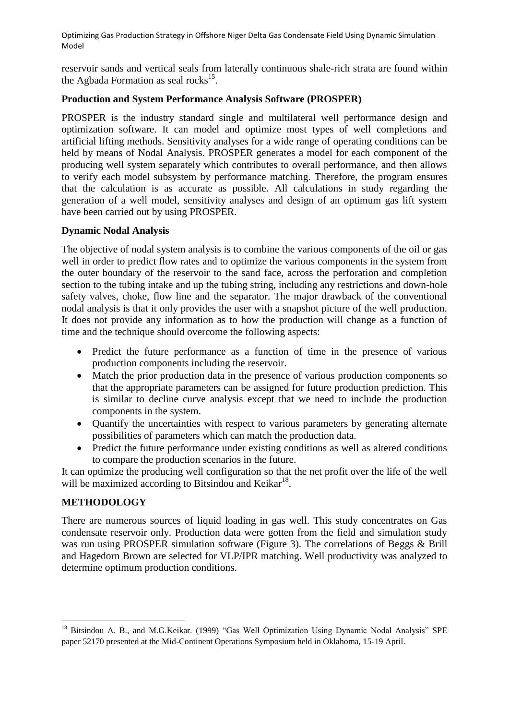reservoir sands and vertical seals from laterally continuous shale-rich strata are found within the Agbada Formation as seal rocks $^{15}$ .

#### **Production and System Performance Analysis Software (PROSPER)**

PROSPER is the industry standard single and multilateral well performance design and optimization software. It can model and optimize most types of well completions and artificial lifting methods. Sensitivity analyses for a wide range of operating conditions can be held by means of Nodal Analysis. PROSPER generates a model for each component of the producing well system separately which contributes to overall performance, and then allows to verify each model subsystem by performance matching. Therefore, the program ensures that the calculation is as accurate as possible. All calculations in study regarding the generation of a well model, sensitivity analyses and design of an optimum gas lift system have been carried out by using PROSPER.

#### **Dynamic Nodal Analysis**

The objective of nodal system analysis is to combine the various components of the oil or gas well in order to predict flow rates and to optimize the various components in the system from the outer boundary of the reservoir to the sand face, across the perforation and completion section to the tubing intake and up the tubing string, including any restrictions and down-hole safety valves, choke, flow line and the separator. The major drawback of the conventional nodal analysis is that it only provides the user with a snapshot picture of the well production. It does not provide any information as to how the production will change as a function of time and the technique should overcome the following aspects:

- Predict the future performance as a function of time in the presence of various production components including the reservoir.
- Match the prior production data in the presence of various production components so that the appropriate parameters can be assigned for future production prediction. This is similar to decline curve analysis except that we need to include the production components in the system.
- Quantify the uncertainties with respect to various parameters by generating alternate possibilities of parameters which can match the production data.
- Predict the future performance under existing conditions as well as altered conditions to compare the production scenarios in the future.

It can optimize the producing well configuration so that the net profit over the life of the well will be maximized according to Bitsindou and Keikar<sup>18</sup>.

## **METHODOLOGY**

1

There are numerous sources of liquid loading in gas well. This study concentrates on Gas condensate reservoir only. Production data were gotten from the field and simulation study was run using PROSPER simulation software (Figure 3). The correlations of Beggs & Brill and Hagedorn Brown are selected for VLP/IPR matching. Well productivity was analyzed to determine optimum production conditions.

<sup>&</sup>lt;sup>18</sup> Bitsindou A. B., and M.G.Keikar. (1999) "Gas Well Optimization Using Dynamic Nodal Analysis" SPE paper 52170 presented at the Mid-Continent Operations Symposium held in Oklahoma, 15-19 April.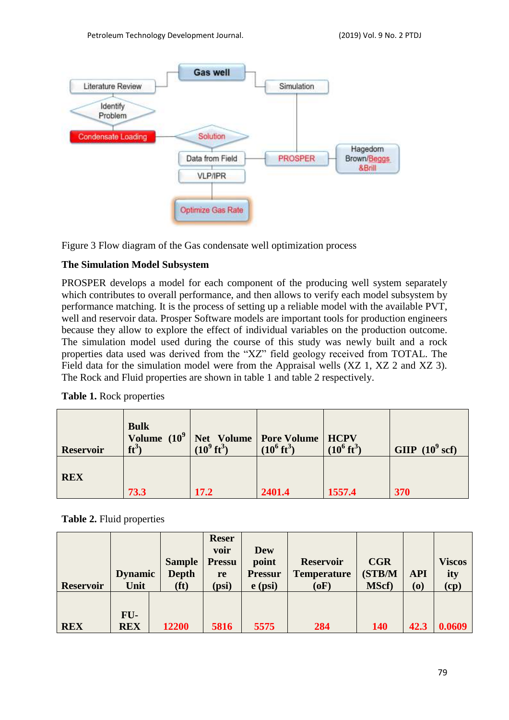

Figure 3 Flow diagram of the Gas condensate well optimization process

## **The Simulation Model Subsystem**

PROSPER develops a model for each component of the producing well system separately which contributes to overall performance, and then allows to verify each model subsystem by performance matching. It is the process of setting up a reliable model with the available PVT, well and reservoir data. Prosper Software models are important tools for production engineers because they allow to explore the effect of individual variables on the production outcome. The simulation model used during the course of this study was newly built and a rock properties data used was derived from the "XZ" field geology received from TOTAL. The Field data for the simulation model were from the Appraisal wells (XZ 1, XZ 2 and XZ 3). The Rock and Fluid properties are shown in table 1 and table 2 respectively.

| <b>Reservoir</b> | <b>Bulk</b><br>Volume $(10^9)$<br>$ft^3$ | $(10^9 \text{ ft}^3)$ | Net Volume   Pore Volume   HCPV<br>$(10^6 \text{ ft}^3)$ | $(10^6 \text{ ft}^3)$ | GIIP $(10^9 \text{ scf})$ |
|------------------|------------------------------------------|-----------------------|----------------------------------------------------------|-----------------------|---------------------------|
| <b>REX</b>       | 73.3                                     | 17.2                  | 2401.4                                                   | 1557.4                | 370                       |

**Table 1.** Rock properties

**Table 2.** Fluid properties

| <b>Reservoir</b> | <b>Dynamic</b><br>Unit | <b>Sample</b><br><b>Depth</b><br>(f <sup>t</sup> ) | <b>Reser</b><br>voir<br><b>Pressu</b><br>re<br>(psi) | <b>Dew</b><br>point<br><b>Pressur</b><br>$e$ (psi) | <b>Reservoir</b><br><b>Temperature</b><br>(oF) | <b>CGR</b><br>(STB/M<br><b>MScf</b> ) | <b>API</b><br>$\boldsymbol{\left( \mathbf{0}\right) }$ | <b>Viscos</b><br>ity<br>$\left(\text{cp}\right)$ |
|------------------|------------------------|----------------------------------------------------|------------------------------------------------------|----------------------------------------------------|------------------------------------------------|---------------------------------------|--------------------------------------------------------|--------------------------------------------------|
| <b>REX</b>       | FU-<br><b>REX</b>      | 12200                                              | 5816                                                 | 5575                                               | 284                                            | <b>140</b>                            | 42.3                                                   | 0.0609                                           |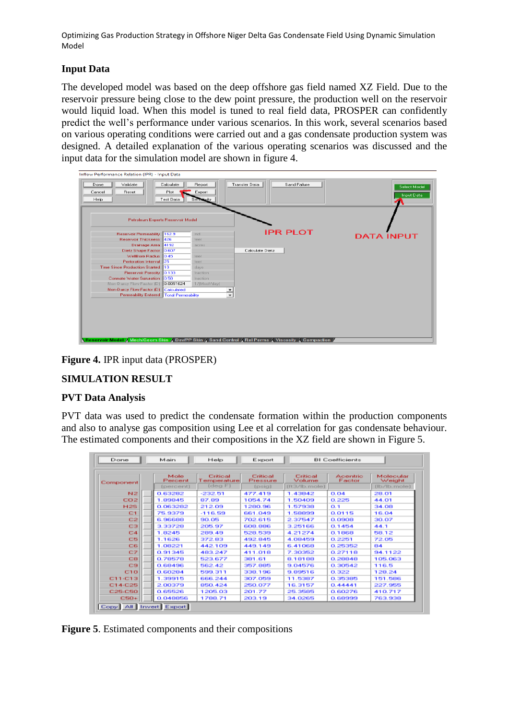# **Input Data**

The developed model was based on the deep offshore gas field named XZ Field. Due to the reservoir pressure being close to the dew point pressure, the production well on the reservoir would liquid load. When this model is tuned to real field data, PROSPER can confidently predict the well's performance under various scenarios. In this work, several scenarios based on various operating conditions were carried out and a gas condensate production system was designed. A detailed explanation of the various operating scenarios was discussed and the input data for the simulation model are shown in figure 4.



**Figure 4.** IPR input data (PROSPER)

## **SIMULATION RESULT**

## **PVT Data Analysis**

PVT data was used to predict the condensate formation within the production components and also to analyse gas composition using Lee et al correlation for gas condensate behaviour. The estimated components and their compositions in the XZ field are shown in Figure 5.

| Done           | Main            | Help                    | Export               |                    | BI Coefficients    |                     |
|----------------|-----------------|-------------------------|----------------------|--------------------|--------------------|---------------------|
| Component      | Mole<br>Percent | Critical<br>Temperature | Critical<br>Pressure | Critical<br>Volume | Acentrio<br>Factor | Molecular<br>Weight |
|                | [percent]       | [deg F]                 | [Dist]               | [ft3/lb.mole]      |                    | [lb/lb, mole]       |
| N2             | 0.63282         | $-232.51$               | 477.419              | 1.43842            | 0.04               | 28.01               |
| COZ            | 1.89845         | 87.89                   | 1054.74              | 1.50409            | 0.225              | 44.01               |
| H2S            | 0.063282        | 212.09                  | 1280.96              | 1.57938            | 0.1                | 34.08               |
| C1             | 75.9379         | $-116.59$               | 661.049              | 1.58899            | 0.0115             | 16.04               |
| C2             | 6.96688         | 90.05                   | 702.615              | 2.37547            | 0.0908             | 30.07               |
| C3             | 3.33728         | 205.97                  | 608.886              | 3.25166            | 0.1454             | 44.1                |
| C <sub>4</sub> | 1.8245          | 289.49                  | 528,539              | 4.21274            | 0.1868             | 58.12               |
| C5             | 1.1626          | 372.83                  | 492.845              | 4.08459            | 0.2251             | 72.05               |
| <b>C6</b>      | 1.08221         | 442.109                 | 449.149              | 6.41068            | 0.25352            | 84                  |
| C7             | 0.91345         | 483.247                 | 411.018              | 7.30352            | 0.27118            | 94.1122             |
| cв             | 0.78578         | 523.677                 | 381.61               | 8.18188            | 0.28848            | 105.063             |
| C9             | 0.68496         | 562.42                  | 357,885              | 9.04576            | 0.30542            | 116.5               |
| C10            | 0.60284         | 599.311                 | 338.196              | 9.89516            | 0.322              | 128.24              |
| C11-C13        | 1,39915         | 666,244                 | 307.059              | 11.5387            | 0.35385            | 151.586             |
| C14-C25        | 2.00379         | 850.424                 | 250.077              | 16.3157            | 0.44441            | 227.955             |
| C25-C50        | 0.65526         | 1205.03                 | 201.77               | 25.3585            | 0.60276            | 410.717             |
| $C50+$         | 0.048856        | 1788.71                 | 203.19               | 34.0265            | 0.68999            | 763.938             |

**Figure 5**. Estimated components and their compositions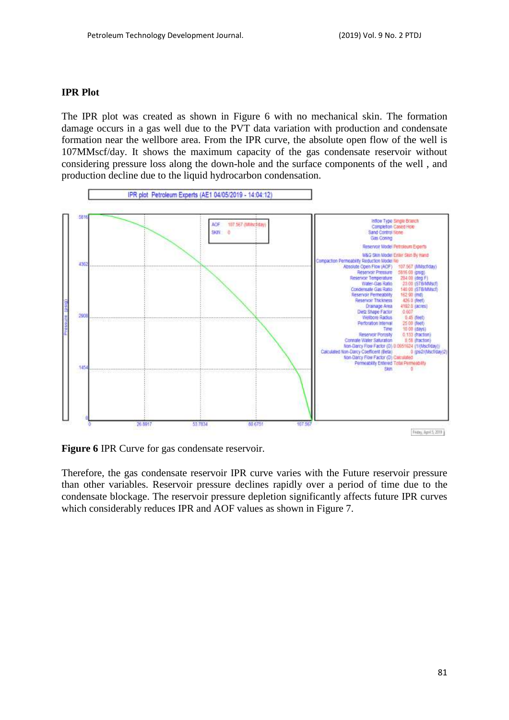#### **IPR Plot**

The IPR plot was created as shown in Figure 6 with no mechanical skin. The formation damage occurs in a gas well due to the PVT data variation with production and condensate formation near the wellbore area. From the IPR curve, the absolute open flow of the well is 107MMscf/day. It shows the maximum capacity of the gas condensate reservoir without considering pressure loss along the down-hole and the surface components of the well , and production decline due to the liquid hydrocarbon condensation.



**Figure 6** IPR Curve for gas condensate reservoir.

Therefore, the gas condensate reservoir IPR curve varies with the Future reservoir pressure than other variables. Reservoir pressure declines rapidly over a period of time due to the condensate blockage. The reservoir pressure depletion significantly affects future IPR curves which considerably reduces IPR and AOF values as shown in Figure 7.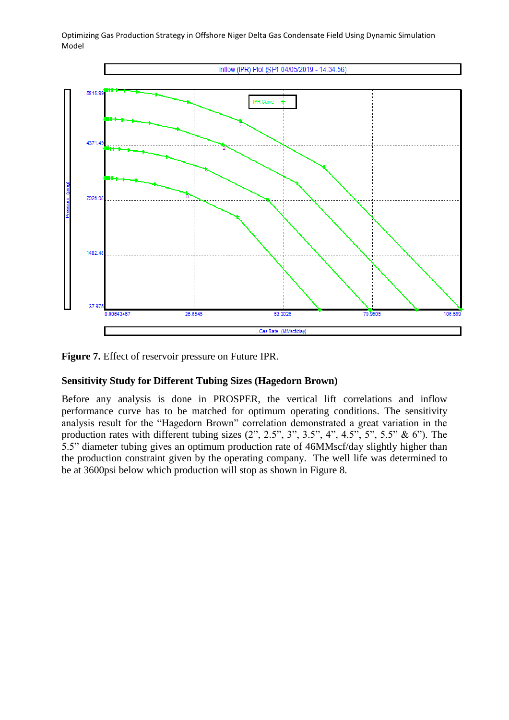

**Figure 7.** Effect of reservoir pressure on Future IPR.

## **Sensitivity Study for Different Tubing Sizes (Hagedorn Brown)**

Before any analysis is done in PROSPER, the vertical lift correlations and inflow performance curve has to be matched for optimum operating conditions. The sensitivity analysis result for the "Hagedorn Brown" correlation demonstrated a great variation in the production rates with different tubing sizes  $(2^{\prime\prime}, 2.5^{\prime\prime}, 3^{\prime\prime}, 3.5^{\prime\prime}, 4^{\prime\prime}, 4.5^{\prime\prime}, 5^{\prime\prime}, 5.5^{\prime\prime} \& 6^{\prime\prime})$ . The 5.5" diameter tubing gives an optimum production rate of 46MMscf/day slightly higher than the production constraint given by the operating company. The well life was determined to be at 3600psi below which production will stop as shown in Figure 8.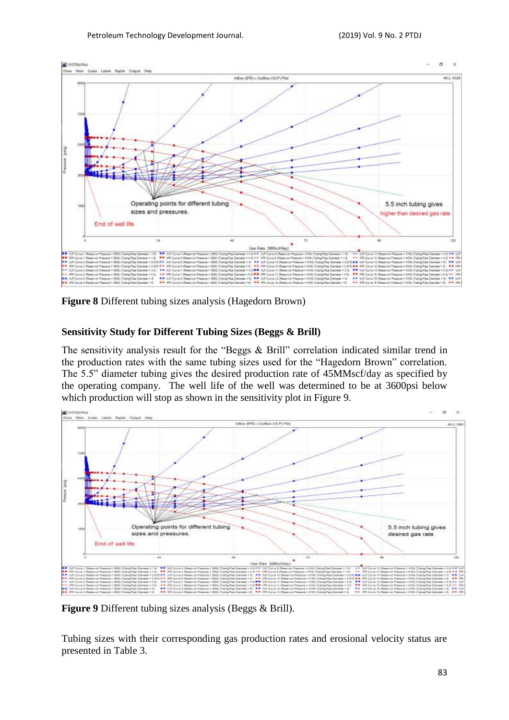

**Figure 8** Different tubing sizes analysis (Hagedorn Brown)

## **Sensitivity Study for Different Tubing Sizes (Beggs & Brill)**

The sensitivity analysis result for the "Beggs & Brill" correlation indicated similar trend in the production rates with the same tubing sizes used for the "Hagedorn Brown" correlation. The 5.5" diameter tubing gives the desired production rate of 45MMscf/day as specified by the operating company. The well life of the well was determined to be at 3600psi below which production will stop as shown in the sensitivity plot in Figure 9.



**Figure 9** Different tubing sizes analysis (Beggs & Brill).

Tubing sizes with their corresponding gas production rates and erosional velocity status are presented in Table 3.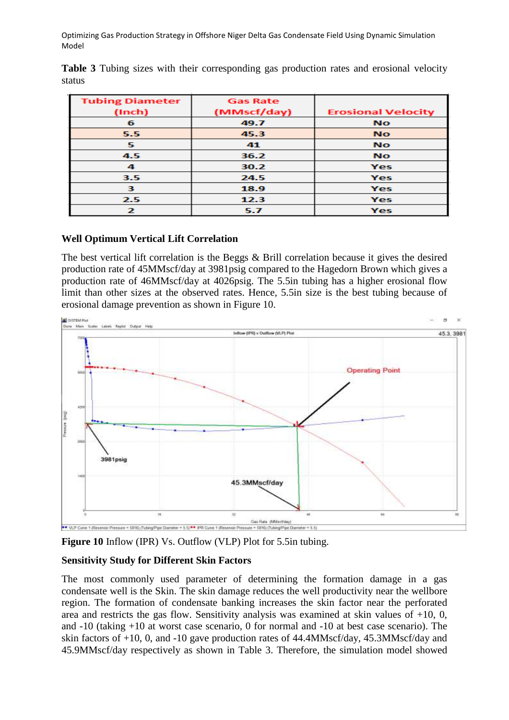| <b>Tubing Diameter</b> | <b>Gas Rate</b> |                           |  |
|------------------------|-----------------|---------------------------|--|
| (Inch)                 | (MMscf/day)     | <b>Erosional Velocity</b> |  |
| 6                      | 49.7            | <b>No</b>                 |  |
| 5.5                    | 45.3            | <b>No</b>                 |  |
| 5.                     | 41              | <b>No</b>                 |  |
| 4.5                    | 36.2            | <b>No</b>                 |  |
| 4                      | 30.2            | Yes                       |  |
| 3.5                    | 24.5            | Yes                       |  |
| з                      | 18.9            | Yes                       |  |
| 2.5                    | 12.3            | Yes                       |  |
| 2                      | 5.7             | Yes                       |  |

**Table 3** Tubing sizes with their corresponding gas production rates and erosional velocity status

## **Well Optimum Vertical Lift Correlation**

The best vertical lift correlation is the Beggs & Brill correlation because it gives the desired production rate of 45MMscf/day at 3981psig compared to the Hagedorn Brown which gives a production rate of 46MMscf/day at 4026psig. The 5.5in tubing has a higher erosional flow limit than other sizes at the observed rates. Hence, 5.5in size is the best tubing because of erosional damage prevention as shown in Figure 10.



**Figure 10** Inflow (IPR) Vs. Outflow (VLP) Plot for 5.5in tubing.

## **Sensitivity Study for Different Skin Factors**

The most commonly used parameter of determining the formation damage in a gas condensate well is the Skin. The skin damage reduces the well productivity near the wellbore region. The formation of condensate banking increases the skin factor near the perforated area and restricts the gas flow. Sensitivity analysis was examined at skin values of  $+10$ , 0, and -10 (taking +10 at worst case scenario, 0 for normal and -10 at best case scenario). The skin factors of +10, 0, and -10 gave production rates of 44.4MMscf/day, 45.3MMscf/day and 45.9MMscf/day respectively as shown in Table 3. Therefore, the simulation model showed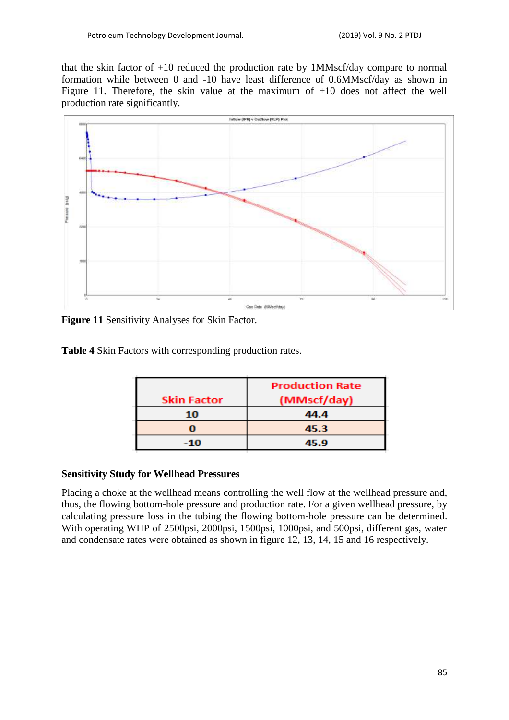that the skin factor of +10 reduced the production rate by 1MMscf/day compare to normal formation while between 0 and -10 have least difference of 0.6MMscf/day as shown in Figure 11. Therefore, the skin value at the maximum of  $+10$  does not affect the well production rate significantly.



**Figure 11** Sensitivity Analyses for Skin Factor.

**Table 4** Skin Factors with corresponding production rates.

|                    | <b>Production Rate</b> |
|--------------------|------------------------|
| <b>Skin Factor</b> | (MMscf/day)            |
| 10                 | 44.4                   |
|                    | 45.3                   |
| -10                | 45.9                   |

#### **Sensitivity Study for Wellhead Pressures**

Placing a choke at the wellhead means controlling the well flow at the wellhead pressure and, thus, the flowing bottom-hole pressure and production rate. For a given wellhead pressure, by calculating pressure loss in the tubing the flowing bottom-hole pressure can be determined. With operating WHP of 2500psi, 2000psi, 1500psi, 1000psi, and 500psi, different gas, water and condensate rates were obtained as shown in figure 12, 13, 14, 15 and 16 respectively.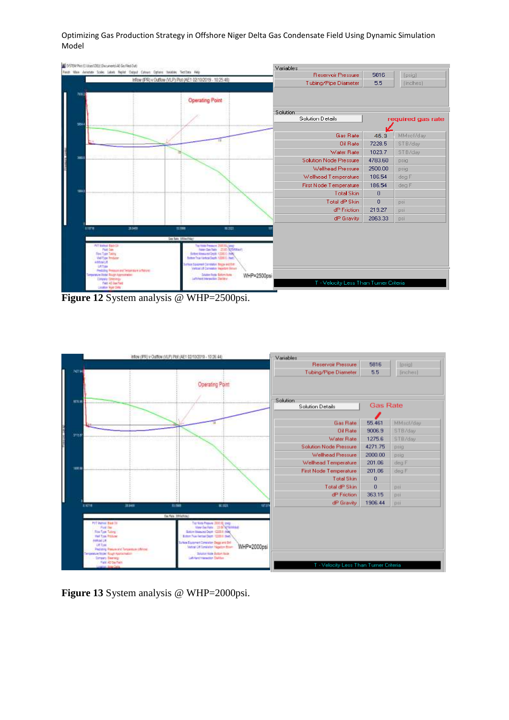

**Figure 12** System analysis @ WHP=2500psi.



**Figure 13** System analysis @ WHP=2000psi.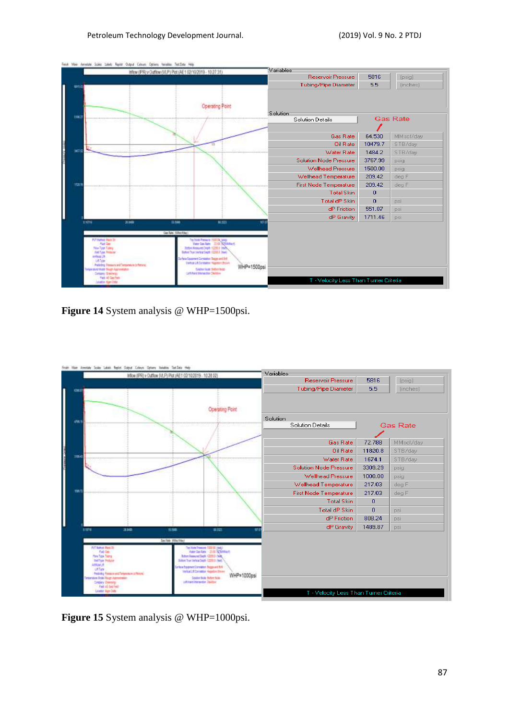|                                                                                                     | Field Main American Soles Lideo Repliet Output Colours Options Natalies Test Data Help |                            |                                                                                                 | Variables                                                  |          |                 |
|-----------------------------------------------------------------------------------------------------|----------------------------------------------------------------------------------------|----------------------------|-------------------------------------------------------------------------------------------------|------------------------------------------------------------|----------|-----------------|
|                                                                                                     | Inflow (IPR) y Outflow (VLP) Plot (AE1 02/10/2019 - 10:27:31)                          |                            |                                                                                                 | <b>Reservoir Pressure</b>                                  | 5816     | (psig)          |
|                                                                                                     |                                                                                        |                            |                                                                                                 | Tubing/Pipe Diameter                                       | 5.5      | (inches)        |
|                                                                                                     |                                                                                        |                            |                                                                                                 |                                                            |          |                 |
|                                                                                                     |                                                                                        |                            | <b>Celario</b>                                                                                  | Solution                                                   |          |                 |
| 1963                                                                                                | --------                                                                               | ---------                  |                                                                                                 | <b>Solution Details</b>                                    |          | <b>Gas Rate</b> |
|                                                                                                     |                                                                                        |                            |                                                                                                 |                                                            |          |                 |
|                                                                                                     |                                                                                        |                            |                                                                                                 | Gas Rate                                                   | 64.530   | MMscf/day       |
|                                                                                                     |                                                                                        |                            |                                                                                                 | Oil Rate                                                   | 10479.7  | STB/day         |
| <b>MATS</b>                                                                                         |                                                                                        |                            |                                                                                                 | Water Rate<br><b><i><u><b>POSTAGE PROPERTY</b></u></i></b> | 1484.2   | STB/day         |
|                                                                                                     |                                                                                        |                            |                                                                                                 | <b>Solution Node Pressure</b>                              | 3767.99  | psig            |
|                                                                                                     |                                                                                        |                            |                                                                                                 | Wellhead Pressure                                          | 1500.00  | psig            |
|                                                                                                     |                                                                                        |                            |                                                                                                 | Wellhead Temperature                                       | 209.42   | deg F           |
| 153.1<br>1111001111                                                                                 | -minimi<br>$-11110011111$                                                              | <b>Honored</b><br>-------- | <b>TERRITER</b>                                                                                 | <b>First Node Temperature</b><br><b>CERTIFICATE</b>        | 209.42   | deg F           |
|                                                                                                     |                                                                                        |                            |                                                                                                 | <b>Total Skin</b>                                          | 0        |                 |
|                                                                                                     |                                                                                        |                            |                                                                                                 | Total dP Skin                                              | $\Omega$ | psi             |
|                                                                                                     |                                                                                        |                            |                                                                                                 | dP Friction                                                | 551.87   | <b>DSİ</b>      |
| 61016                                                                                               | <b>A.MD</b>                                                                            | 11,1006                    | $-100$                                                                                          | dP Gravity                                                 | 1711.46  | psi             |
|                                                                                                     |                                                                                        |                            |                                                                                                 |                                                            |          |                 |
|                                                                                                     |                                                                                        | <b>Ge Are Silection</b>    |                                                                                                 |                                                            |          |                 |
| PVP Networ State Dr.<br>Platford                                                                    |                                                                                        |                            | Tro Tools Person's 2000 Dia jump.<br>Numer Cas Rate - 2010 PS2010 Rock                          |                                                            |          |                 |
| <b>New York Takes</b><br><b>First Type Pendings</b>                                                 |                                                                                        |                            | Boton Nessured Depth 12200.0 Steps<br>Batton Tea Viertra Cept: 12080.5 Neels                    |                                                            |          |                 |
| Arthural L.B.<br>US Syle                                                                            |                                                                                        |                            | <b>Inflato Equipment Completion Sugger and Britt</b><br>Vehicle LA Dorsdatter Hugottern Brainle |                                                            |          |                 |
| Predicting Pressure and Temperature (offering)<br><b>Temple also the Beautiful Student Programs</b> |                                                                                        |                            | Cold on Figure Station Boddy                                                                    |                                                            |          |                 |
| Cutsary Greenery<br><b>Madd AR Stars Payle</b>                                                      |                                                                                        |                            | <b>African Mensche Delaw</b>                                                                    |                                                            |          |                 |
| studios Manifesta                                                                                   |                                                                                        |                            |                                                                                                 | T - Velocity Less Than Turner Criteria                     |          |                 |

Figure 14 System analysis @ WHP=1500psi.



Figure 15 System analysis @ WHP=1000psi.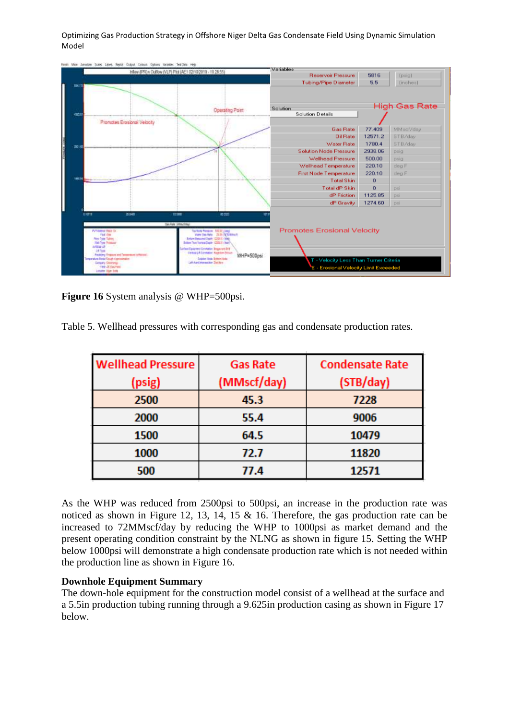| Feigh Man Janutze Soles Libes Sept Output Colour. Option linkeles TestOirs Help                                                                                     |                                                                                                                                                                            |                                                                               |          |                      |
|---------------------------------------------------------------------------------------------------------------------------------------------------------------------|----------------------------------------------------------------------------------------------------------------------------------------------------------------------------|-------------------------------------------------------------------------------|----------|----------------------|
| Inflow (IPR) v Outflow (VLP) Plot (AE1 02:10/2019 - 10:26:55)                                                                                                       |                                                                                                                                                                            | Variables<br>Reservoir Pressure                                               | 5816     | [psia]               |
|                                                                                                                                                                     |                                                                                                                                                                            |                                                                               |          |                      |
| <b>IBUT</b>                                                                                                                                                         |                                                                                                                                                                            | <b>Tubing/Pipe Diameter</b>                                                   | 5.5      | [inches]             |
| an i                                                                                                                                                                | Operating Pont<br>--------                                                                                                                                                 | Solution<br><b>Solution Details</b>                                           |          | <b>High Gas Rate</b> |
| Promotes Erosional Velocity                                                                                                                                         | 72                                                                                                                                                                         |                                                                               |          |                      |
|                                                                                                                                                                     |                                                                                                                                                                            | Gas Rate                                                                      | 77.409   | MMsel/day            |
|                                                                                                                                                                     |                                                                                                                                                                            | <b>Dil Rate</b>                                                               | 12571.2  | STB/day              |
|                                                                                                                                                                     |                                                                                                                                                                            | Water Rate                                                                    | 1780.4   | STB/day              |
|                                                                                                                                                                     |                                                                                                                                                                            | <b>Solution Node Pressure</b>                                                 | 2938.06  | psig                 |
|                                                                                                                                                                     |                                                                                                                                                                            | <b>Wellhead Pressure</b>                                                      | 500.00   | psig                 |
|                                                                                                                                                                     |                                                                                                                                                                            | Wellhead Temperature                                                          | 220.10   | deg F                |
|                                                                                                                                                                     |                                                                                                                                                                            | <b>First Node Temperature</b>                                                 | 220.10   | deg F                |
| <b>Bidden and and the Company</b>                                                                                                                                   |                                                                                                                                                                            | <b>Total Skin</b>                                                             | 0        |                      |
|                                                                                                                                                                     |                                                                                                                                                                            | Total dP Skin                                                                 | $\sigma$ | psi                  |
|                                                                                                                                                                     |                                                                                                                                                                            | dP Friction                                                                   | 1125.05  | psi                  |
|                                                                                                                                                                     |                                                                                                                                                                            | dP Gravity                                                                    | 1274.60  | psi                  |
| 314<br><b>TIME</b><br><b>THEFT</b>                                                                                                                                  | 80,000                                                                                                                                                                     |                                                                               |          |                      |
| On Feb 1855/7001                                                                                                                                                    |                                                                                                                                                                            |                                                                               |          |                      |
| PVT Method: Digital Cir.<br>Fluid (from<br>Play Jubs Talking<br><b>Till Tige Reading</b>                                                                            | The from Pressure : SIG BC (246)<br>View See Ada 21.00 PCT/Milled.<br><b>British Research Depth 12200 &amp; (Told)</b><br>Britain True Vertical Dayte 12200 & Char-        | <b>Promotes Erosional Velocity</b>                                            |          |                      |
| WMarch<br>1.4 %m<br>Redding Pressure and Tenerators complexes<br>Terramatura Badal Roogh Approximation<br>Colory Contests<br>First AE Dan Family<br>League Har-Sale | face Equipment Constation Seppa and Brit<br><b>Uniting Lift Constation Nappoles drivers</b><br>WHP=500psi<br><b>Sister Hotel Schleinliche</b><br>att And eternetist Daliky | T - Velocity Less Than Turner Criteria<br>- Erosional Velocity Limit Exceeded |          |                      |

**Figure 16** System analysis @ WHP=500psi.

Table 5. Wellhead pressures with corresponding gas and condensate production rates.

| <b>Wellhead Pressure</b> | <b>Gas Rate</b> | <b>Condensate Rate</b> |
|--------------------------|-----------------|------------------------|
| (psig)                   | (MMscf/day)     | (STB/day)              |
| 2500                     | 45.3            | 7228                   |
| 2000                     | 55.4            | 9006                   |
| 1500                     | 64.5            | 10479                  |
| 1000                     | 72.7            | 11820                  |
| 500                      | 77.4            | 12571                  |

As the WHP was reduced from 2500psi to 500psi, an increase in the production rate was noticed as shown in Figure 12, 13, 14, 15 & 16. Therefore, the gas production rate can be increased to 72MMscf/day by reducing the WHP to 1000psi as market demand and the present operating condition constraint by the NLNG as shown in figure 15. Setting the WHP below 1000psi will demonstrate a high condensate production rate which is not needed within the production line as shown in Figure 16.

## **Downhole Equipment Summary**

The down-hole equipment for the construction model consist of a wellhead at the surface and a 5.5in production tubing running through a 9.625in production casing as shown in Figure 17 below.